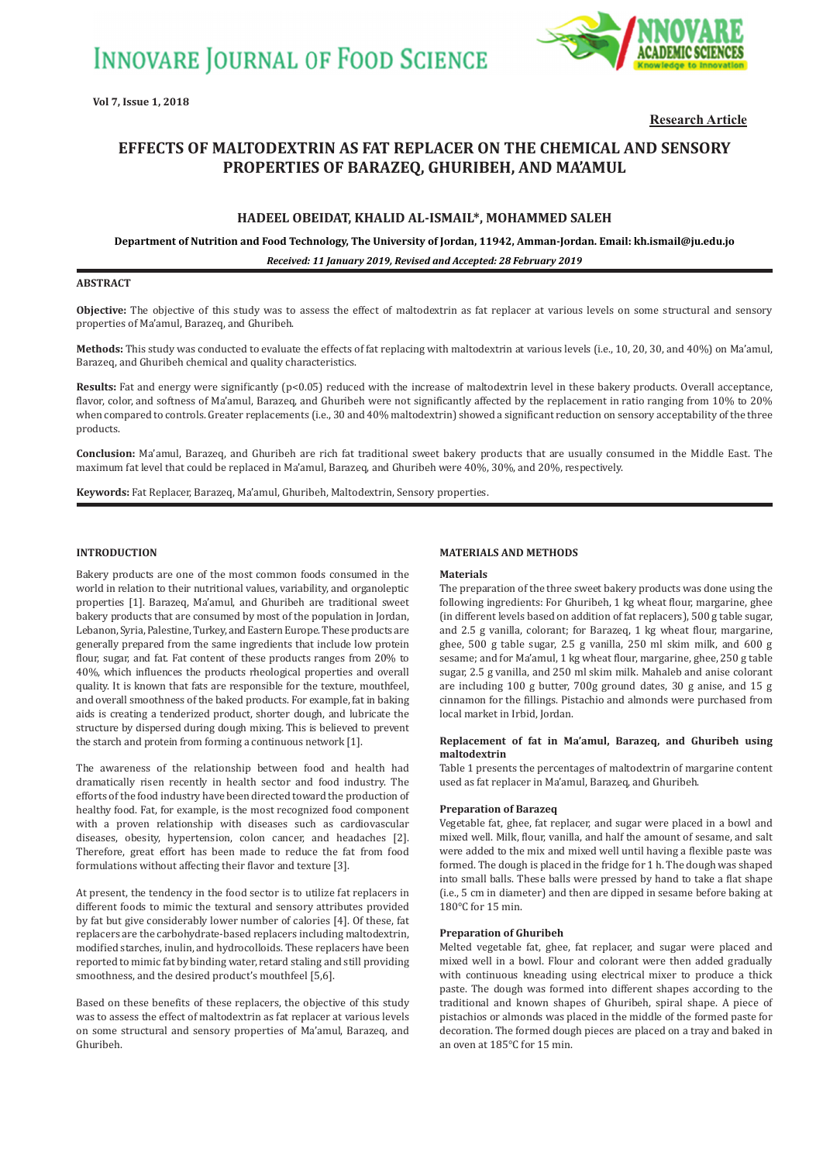

**Research Article**

# **EFFECTS OF MALTODEXTRIN AS FAT REPLACER ON THE CHEMICAL AND SENSORY PROPERTIES OF BARAZEQ, GHURIBEH, AND MA'AMUL**

# **HADEEL OBEIDAT, KHALID AL-ISMAIL\*, MOHAMMED SALEH**

**Department of Nutrition and Food Technology, The University of Jordan, 11942, Amman-Jordan. Email: kh.ismail@ju.edu.jo**

*Received: 11 January 2019, Revised and Accepted: 28 February 2019*

# **ABSTRACT**

**Objective:** The objective of this study was to assess the effect of maltodextrin as fat replacer at various levels on some structural and sensory properties of Ma'amul, Barazeq, and Ghuribeh.

**Methods:** This study was conducted to evaluate the effects of fat replacing with maltodextrin at various levels (i.e., 10, 20, 30, and 40%) on Ma'amul, Barazeq, and Ghuribeh chemical and quality characteristics.

**Results:** Fat and energy were significantly (p<0.05) reduced with the increase of maltodextrin level in these bakery products. Overall acceptance, flavor, color, and softness of Ma'amul, Barazeq, and Ghuribeh were not significantly affected by the replacement in ratio ranging from 10% to 20% when compared to controls. Greater replacements (i.e., 30 and 40% maltodextrin) showed a significant reduction on sensory acceptability of the three products.

**Conclusion:** Ma'amul, Barazeq, and Ghuribeh are rich fat traditional sweet bakery products that are usually consumed in the Middle East. The maximum fat level that could be replaced in Ma'amul, Barazeq, and Ghuribeh were 40%, 30%, and 20%, respectively.

**Keywords:** Fat Replacer, Barazeq, Ma'amul, Ghuribeh, Maltodextrin, Sensory properties.

## **INTRODUCTION**

Bakery products are one of the most common foods consumed in the world in relation to their nutritional values, variability, and organoleptic properties [1]. Barazeq, Ma'amul, and Ghuribeh are traditional sweet bakery products that are consumed by most of the population in Jordan, Lebanon, Syria, Palestine, Turkey, and Eastern Europe. These products are generally prepared from the same ingredients that include low protein flour, sugar, and fat. Fat content of these products ranges from 20% to 40%, which influences the products rheological properties and overall quality. It is known that fats are responsible for the texture, mouthfeel, and overall smoothness of the baked products. For example, fat in baking aids is creating a tenderized product, shorter dough, and lubricate the structure by dispersed during dough mixing. This is believed to prevent the starch and protein from forming a continuous network [1].

The awareness of the relationship between food and health had dramatically risen recently in health sector and food industry. The efforts of the food industry have been directed toward the production of healthy food. Fat, for example, is the most recognized food component with a proven relationship with diseases such as cardiovascular diseases, obesity, hypertension, colon cancer, and headaches [2]. Therefore, great effort has been made to reduce the fat from food formulations without affecting their flavor and texture [3].

At present, the tendency in the food sector is to utilize fat replacers in different foods to mimic the textural and sensory attributes provided by fat but give considerably lower number of calories [4]. Of these, fat replacers are the carbohydrate-based replacers including maltodextrin, modified starches, inulin, and hydrocolloids. These replacers have been reported to mimic fat by binding water, retard staling and still providing smoothness, and the desired product's mouthfeel [5,6].

Based on these benefits of these replacers, the objective of this study was to assess the effect of maltodextrin as fat replacer at various levels on some structural and sensory properties of Ma'amul, Barazeq, and Ghuribeh.

## **MATERIALS AND METHODS**

#### **Materials**

The preparation of the three sweet bakery products was done using the following ingredients: For Ghuribeh, 1 kg wheat flour, margarine, ghee (in different levels based on addition of fat replacers), 500 g table sugar, and 2.5 g vanilla, colorant; for Barazeq, 1 kg wheat flour, margarine, ghee, 500 g table sugar, 2.5 g vanilla, 250 ml skim milk, and 600 g sesame; and for Ma'amul, 1 kg wheat flour, margarine, ghee, 250 g table sugar, 2.5 g vanilla, and 250 ml skim milk. Mahaleb and anise colorant are including 100 g butter, 700g ground dates, 30 g anise, and 15 g cinnamon for the fillings. Pistachio and almonds were purchased from local market in Irbid, Jordan.

# **Replacement of fat in Ma'amul, Barazeq, and Ghuribeh using maltodextrin**

Table 1 presents the percentages of maltodextrin of margarine content used as fat replacer in Ma'amul, Barazeq, and Ghuribeh.

### **Preparation of Barazeq**

Vegetable fat, ghee, fat replacer, and sugar were placed in a bowl and mixed well. Milk, flour, vanilla, and half the amount of sesame, and salt were added to the mix and mixed well until having a flexible paste was formed. The dough is placed in the fridge for 1 h. The dough was shaped into small balls. These balls were pressed by hand to take a flat shape (i.e., 5 cm in diameter) and then are dipped in sesame before baking at 180°C for 15 min.

# **Preparation of Ghuribeh**

Melted vegetable fat, ghee, fat replacer, and sugar were placed and mixed well in a bowl. Flour and colorant were then added gradually with continuous kneading using electrical mixer to produce a thick paste. The dough was formed into different shapes according to the traditional and known shapes of Ghuribeh, spiral shape. A piece of pistachios or almonds was placed in the middle of the formed paste for decoration. The formed dough pieces are placed on a tray and baked in an oven at 185°C for 15 min.